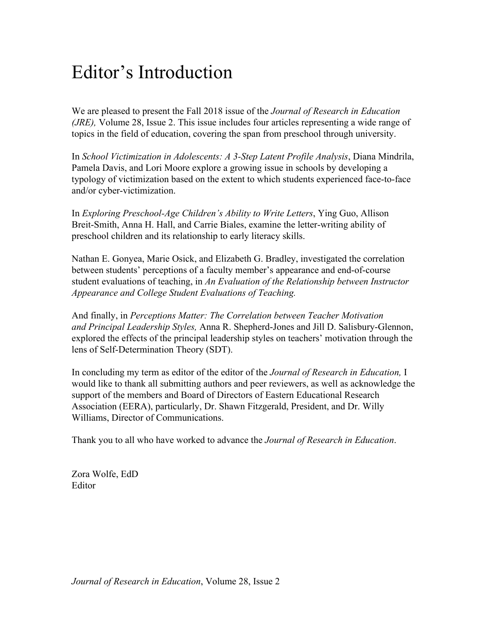## Editor's Introduction

We are pleased to present the Fall 2018 issue of the *Journal of Research in Education (JRE),* Volume 28, Issue 2. This issue includes four articles representing a wide range of topics in the field of education, covering the span from preschool through university.

In *School Victimization in Adolescents: A 3-Step Latent Profile Analysis*, Diana Mindrila, Pamela Davis, and Lori Moore explore a growing issue in schools by developing a typology of victimization based on the extent to which students experienced face-to-face and/or cyber-victimization.

In *Exploring Preschool-Age Children's Ability to Write Letters*, Ying Guo, Allison Breit-Smith, Anna H. Hall, and Carrie Biales, examine the letter-writing ability of preschool children and its relationship to early literacy skills.

Nathan E. Gonyea, Marie Osick, and Elizabeth G. Bradley, investigated the correlation between students' perceptions of a faculty member's appearance and end-of-course student evaluations of teaching, in *An Evaluation of the Relationship between Instructor Appearance and College Student Evaluations of Teaching.*

And finally, in *Perceptions Matter: The Correlation between Teacher Motivation and Principal Leadership Styles,* Anna R. Shepherd-Jones and Jill D. Salisbury-Glennon, explored the effects of the principal leadership styles on teachers' motivation through the lens of Self-Determination Theory (SDT).

In concluding my term as editor of the editor of the *Journal of Research in Education,* I would like to thank all submitting authors and peer reviewers, as well as acknowledge the support of the members and Board of Directors of Eastern Educational Research Association (EERA), particularly, Dr. Shawn Fitzgerald, President, and Dr. Willy Williams, Director of Communications.

Thank you to all who have worked to advance the *Journal of Research in Education*.

Zora Wolfe, EdD Editor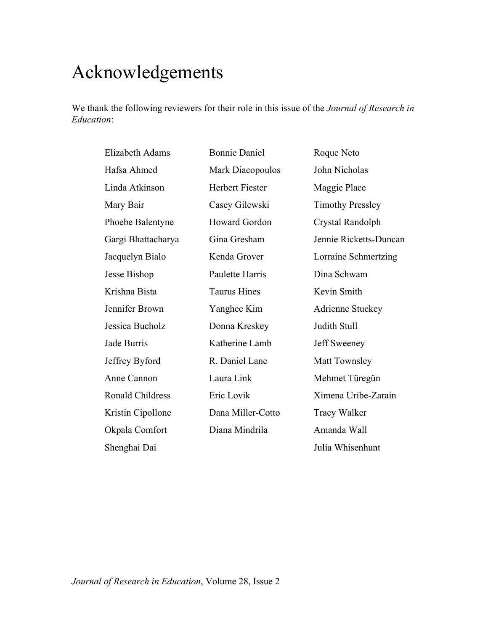## Acknowledgements

We thank the following reviewers for their role in this issue of the *Journal of Research in Education*:

| Elizabeth Adams         | <b>Bonnie Daniel</b> | Roque Neto              |
|-------------------------|----------------------|-------------------------|
| Hafsa Ahmed             | Mark Diacopoulos     | John Nicholas           |
| Linda Atkinson          | Herbert Fiester      | Maggie Place            |
| Mary Bair               | Casey Gilewski       | <b>Timothy Pressley</b> |
| Phoebe Balentyne        | Howard Gordon        | Crystal Randolph        |
| Gargi Bhattacharya      | Gina Gresham         | Jennie Ricketts-Duncan  |
| Jacquelyn Bialo         | Kenda Grover         | Lorraine Schmertzing    |
| Jesse Bishop            | Paulette Harris      | Dina Schwam             |
| Krishna Bista           | <b>Taurus Hines</b>  | Kevin Smith             |
| Jennifer Brown          | Yanghee Kim          | <b>Adrienne Stuckey</b> |
| Jessica Bucholz         | Donna Kreskey        | Judith Stull            |
| Jade Burris             | Katherine Lamb       | Jeff Sweeney            |
| Jeffrey Byford          | R. Daniel Lane       | Matt Townsley           |
| Anne Cannon             | Laura Link           | Mehmet Türegün          |
| <b>Ronald Childress</b> | Eric Lovik           | Ximena Uribe-Zarain     |
| Kristin Cipollone       | Dana Miller-Cotto    | <b>Tracy Walker</b>     |
| Okpala Comfort          | Diana Mindrila       | Amanda Wall             |
| Shenghai Dai            |                      | Julia Whisenhunt        |